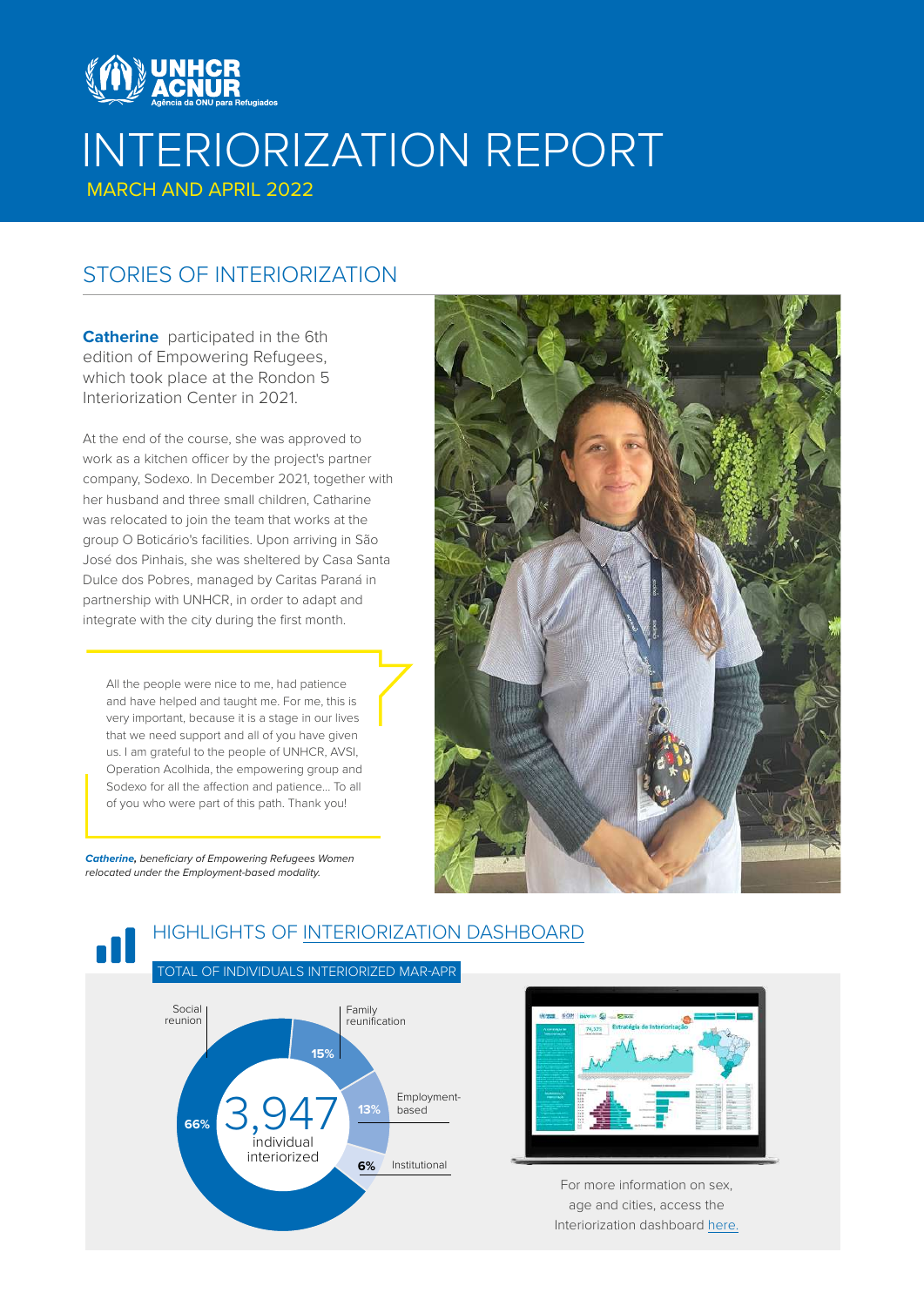

# INTERIORIZATION REPORT

MARCH AND APRIL 2022

### STORIES OF INTERIORIZATION

**Catherine** participated in the 6th edition of Empowering Refugees, which took place at the Rondon 5 Interiorization Center in 2021.

At the end of the course, she was approved to work as a kitchen officer by the project's partner company, Sodexo. In December 2021, together with her husband and three small children, Catharine was relocated to join the team that works at the group O Boticário's facilities. Upon arriving in São José dos Pinhais, she was sheltered by Casa Santa Dulce dos Pobres, managed by Caritas Paraná in partnership with UNHCR, in order to adapt and integrate with the city during the first month.

All the people were nice to me, had patience and have helped and taught me. For me, this is very important, because it is a stage in our lives that we need support and all of you have given us. I am grateful to the people of UNHCR, AVSI, Operation Acolhida, the empowering group and Sodexo for all the affection and patience... To all of you who were part of this path. Thank you!

*Catherine, beneficiary of Empowering Refugees Women relocated under the Employment-based modality.*



### HIGHLIGHTS OF [INTERIORIZATION DASHBOARD](http://aplicacoes.mds.gov.br/snas/painel-interiorizacao/)





For more information on sex, age and cities, access the Interiorization dashboard [here](http://aplicacoes.mds.gov.br/snas/painel-interiorizacao).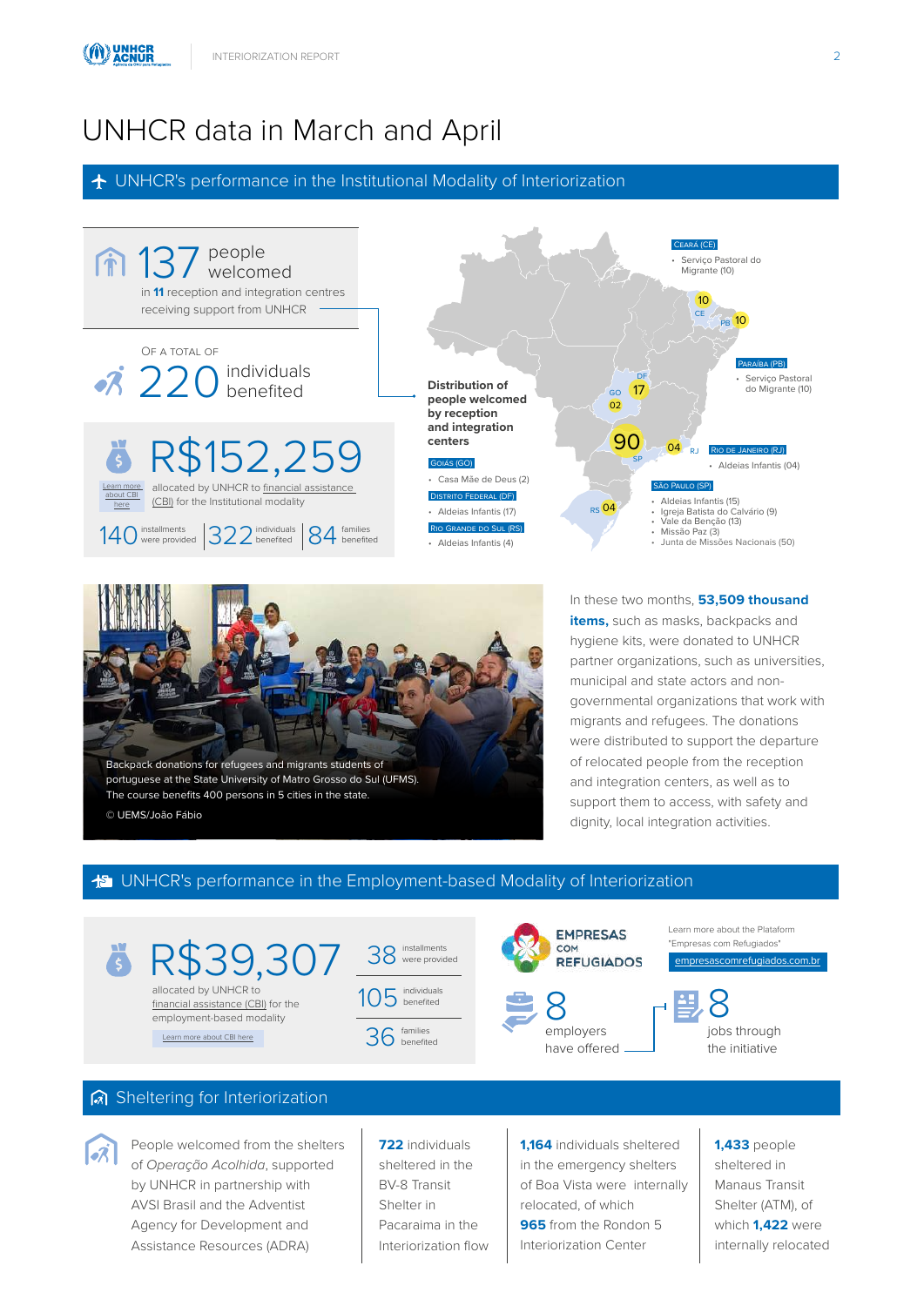# UNHCR data in March and April

 $\bigstar$  UNHCR's performance in the Institutional Modality of Interiorization





In these two months, **53,509 thousand items,** such as masks, backpacks and hygiene kits, were donated to UNHCR partner organizations, such as universities, municipal and state actors and nongovernmental organizations that work with migrants and refugees. The donations were distributed to support the departure of relocated people from the reception and integration centers, as well as to support them to access, with safety and dignity, local integration activities.

#### $\frac{1}{2}$  UNHCR's performance in the Employment-based Modality of Interiorization



#### Sheltering for Interiorization



People welcomed from the shelters of *Operação Acolhida*, supported by UNHCR in partnership with AVSI Brasil and the Adventist Agency for Development and Assistance Resources (ADRA)

**722** individuals sheltered in the BV-8 Transit Shelter in Pacaraima in the Interiorization flow **1,164** individuals sheltered in the emergency shelters of Boa Vista were internally relocated, of which **965** from the Rondon 5 Interiorization Center

**1,433** people sheltered in Manaus Transit Shelter (ATM), of which **1,422** were internally relocated